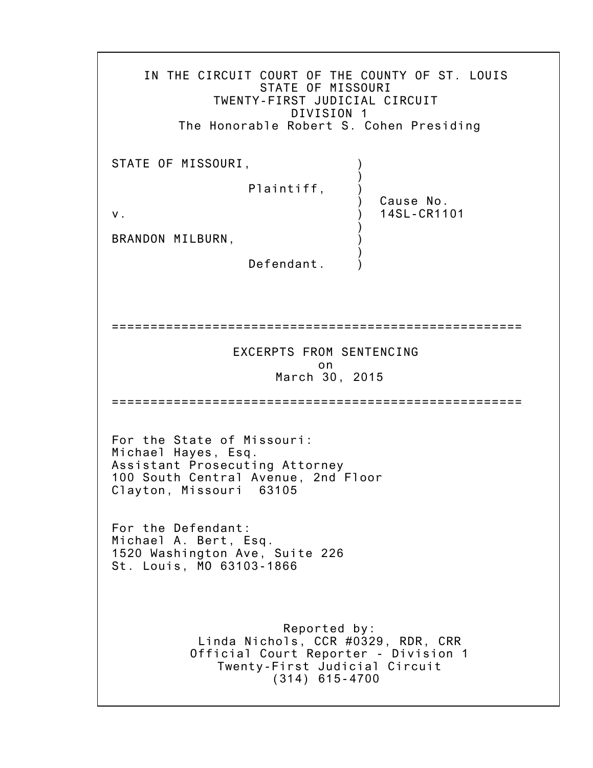IN THE CIRCUIT COURT OF THE COUNTY OF ST. LOUIS STATE OF MISSOURI TWENTY-FIRST JUDICIAL CIRCUIT DIVISION 1 The Honorable Robert S. Cohen Presiding STATE OF MISSOURI, ) Plaintiff, ) ) Cause No. v. ) 14SL-CR1101 ) BRANDON MILBURN, ) Defendant. ===================================================== EXCERPTS FROM SENTENCING on March 30, 2015 ===================================================== For the State of Missouri: Michael Hayes, Esq. Assistant Prosecuting Attorney 100 South Central Avenue, 2nd Floor Clayton, Missouri 63105 For the Defendant: Michael A. Bert, Esq. 1520 Washington Ave, Suite 226 St. Louis, MO 63103-1866 Reported by: Linda Nichols, CCR #0329, RDR, CRR Official Court Reporter - Division 1 Twenty-First Judicial Circuit (314) 615-4700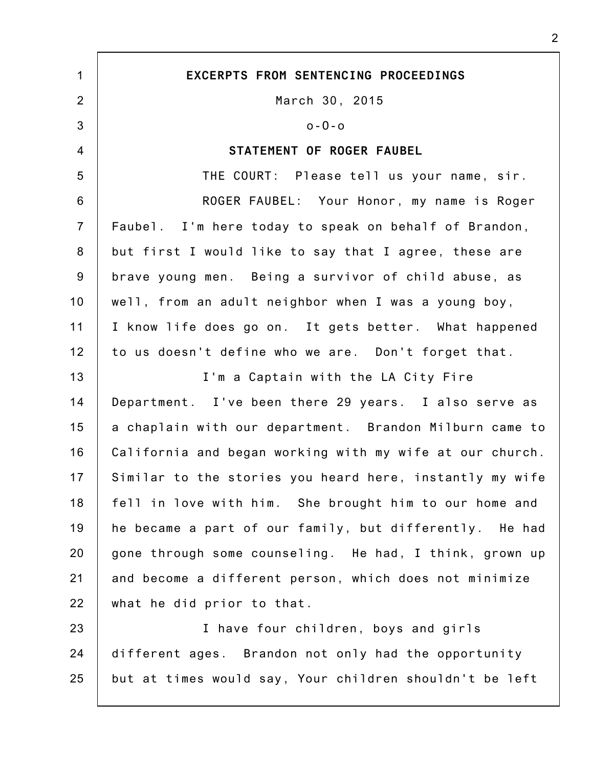1 2 3 4 5 6 7 8 9 10 11 12 13 14 15 16 17 18 19 20 21 22 23 24 25 **EXCERPTS FROM SENTENCING PROCEEDINGS** March 30, 2015 o-O-o **STATEMENT OF ROGER FAUBEL** THE COURT: Please tell us your name, sir. ROGER FAUBEL: Your Honor, my name is Roger Faubel. I'm here today to speak on behalf of Brandon, but first I would like to say that I agree, these are brave young men. Being a survivor of child abuse, as well, from an adult neighbor when I was a young boy, I know life does go on. It gets better. What happened to us doesn't define who we are. Don't forget that. I'm a Captain with the LA City Fire Department. I've been there 29 years. I also serve as a chaplain with our department. Brandon Milburn came to California and began working with my wife at our church. Similar to the stories you heard here, instantly my wife fell in love with him. She brought him to our home and he became a part of our family, but differently. He had gone through some counseling. He had, I think, grown up and become a different person, which does not minimize what he did prior to that. I have four children, boys and girls different ages. Brandon not only had the opportunity but at times would say, Your children shouldn't be left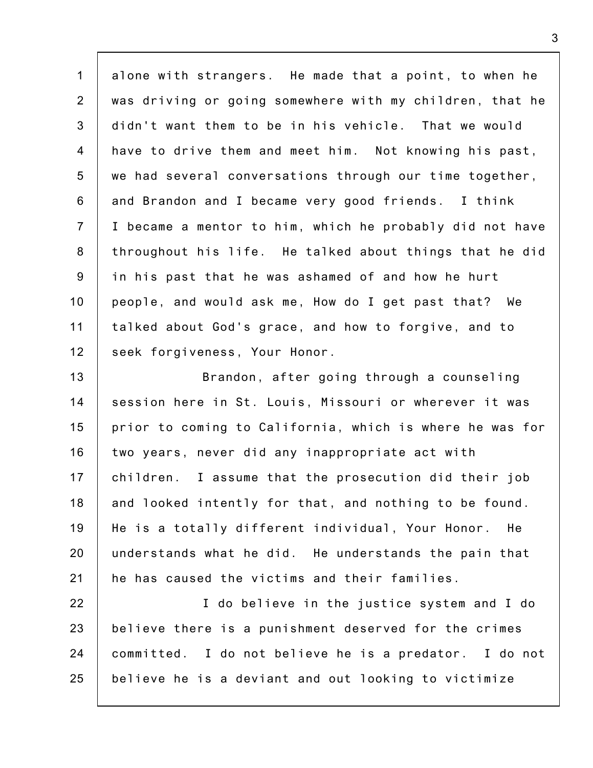1 2 3 4 5 6 7 8 9 10 11 12 alone with strangers. He made that a point, to when he was driving or going somewhere with my children, that he didn't want them to be in his vehicle. That we would have to drive them and meet him. Not knowing his past, we had several conversations through our time together, and Brandon and I became very good friends. I think I became a mentor to him, which he probably did not have throughout his life. He talked about things that he did in his past that he was ashamed of and how he hurt people, and would ask me, How do I get past that? We talked about God's grace, and how to forgive, and to seek forgiveness, Your Honor.

13 14 15 16 17 18 19 20 21 Brandon, after going through a counseling session here in St. Louis, Missouri or wherever it was prior to coming to California, which is where he was for two years, never did any inappropriate act with children. I assume that the prosecution did their job and looked intently for that, and nothing to be found. He is a totally different individual, Your Honor. He understands what he did. He understands the pain that he has caused the victims and their families.

22 23 24 25 I do believe in the justice system and I do believe there is a punishment deserved for the crimes committed. I do not believe he is a predator. I do not believe he is a deviant and out looking to victimize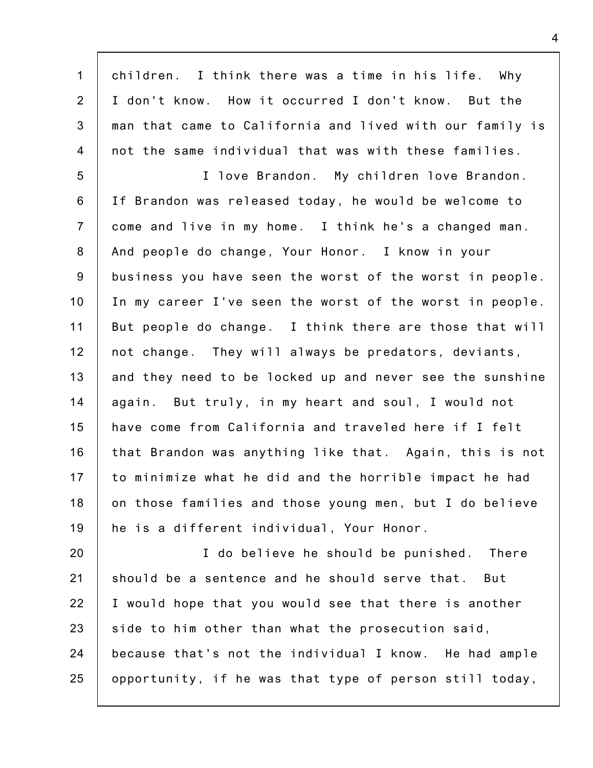1 2 3 4 5 6 7 8 9 10 11 12 13 14 15 16 17 18 19 20 21 children. I think there was a time in his life. Why I don't know. How it occurred I don't know. But the man that came to California and lived with our family is not the same individual that was with these families. I love Brandon. My children love Brandon. If Brandon was released today, he would be welcome to come and live in my home. I think he's a changed man. And people do change, Your Honor. I know in your business you have seen the worst of the worst in people. In my career I've seen the worst of the worst in people. But people do change. I think there are those that will not change. They will always be predators, deviants, and they need to be locked up and never see the sunshine again. But truly, in my heart and soul, I would not have come from California and traveled here if I felt that Brandon was anything like that. Again, this is not to minimize what he did and the horrible impact he had on those families and those young men, but I do believe he is a different individual, Your Honor. I do believe he should be punished. There should be a sentence and he should serve that. But

I would hope that you would see that there is another

because that's not the individual I know. He had ample

opportunity, if he was that type of person still today,

side to him other than what the prosecution said,

22

23

24

25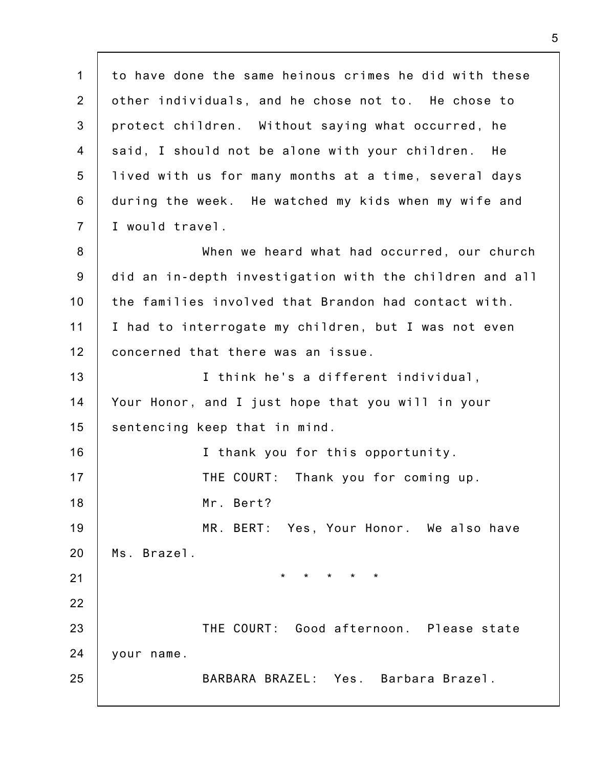1 2 3 4 5 6 7 8 9 10 11 12 13 14 15 16 17 18 19 20 21 22 23 24 25 to have done the same heinous crimes he did with these other individuals, and he chose not to. He chose to protect children. Without saying what occurred, he said, I should not be alone with your children. He lived with us for many months at a time, several days during the week. He watched my kids when my wife and I would travel. When we heard what had occurred, our church did an in-depth investigation with the children and all the families involved that Brandon had contact with. I had to interrogate my children, but I was not even concerned that there was an issue. I think he's a different individual, Your Honor, and I just hope that you will in your sentencing keep that in mind. I thank you for this opportunity. THE COURT: Thank you for coming up. Mr. Bert? MR. BERT: Yes, Your Honor. We also have Ms. Brazel. \* \* \* \* \* THE COURT: Good afternoon. Please state your name. BARBARA BRAZEL: Yes. Barbara Brazel.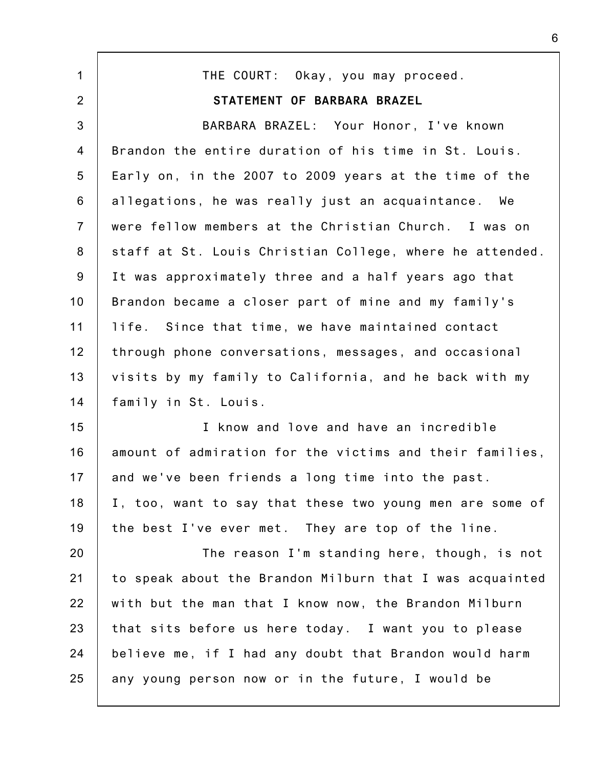1 2 3 4 5 6 7 8 9 10 11 12 13 14 15 16 17 18 19 20 21 22 23 24 25 THE COURT: Okay, you may proceed. **STATEMENT OF BARBARA BRAZEL** BARBARA BRAZEL: Your Honor, I've known Brandon the entire duration of his time in St. Louis. Early on, in the 2007 to 2009 years at the time of the allegations, he was really just an acquaintance. We were fellow members at the Christian Church. I was on staff at St. Louis Christian College, where he attended. It was approximately three and a half years ago that Brandon became a closer part of mine and my family's life. Since that time, we have maintained contact through phone conversations, messages, and occasional visits by my family to California, and he back with my family in St. Louis. I know and love and have an incredible amount of admiration for the victims and their families, and we've been friends a long time into the past. I, too, want to say that these two young men are some of the best I've ever met. They are top of the line. The reason I'm standing here, though, is not to speak about the Brandon Milburn that I was acquainted with but the man that I know now, the Brandon Milburn that sits before us here today. I want you to please believe me, if I had any doubt that Brandon would harm any young person now or in the future, I would be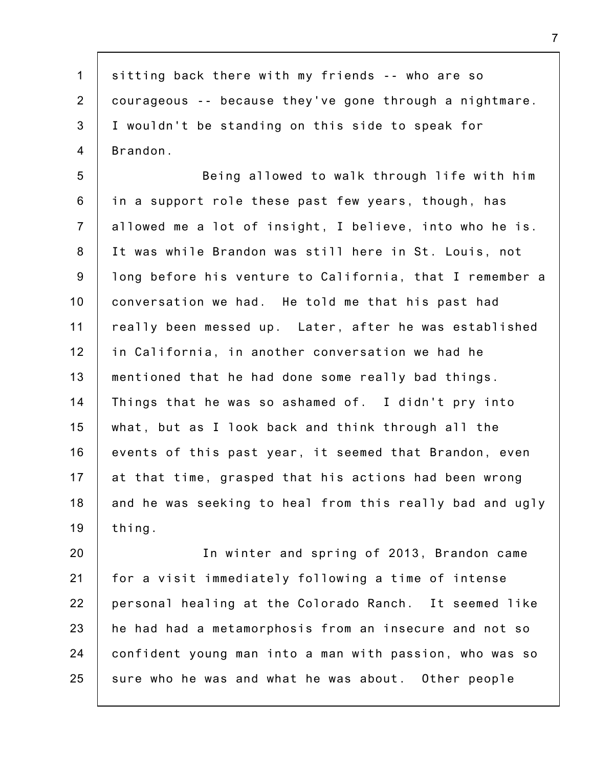1 2 3 4 sitting back there with my friends -- who are so courageous -- because they've gone through a nightmare. I wouldn't be standing on this side to speak for Brandon.

5 6 7 8 9 10 11 12 13 14 15 16 17 18 19 Being allowed to walk through life with him in a support role these past few years, though, has allowed me a lot of insight, I believe, into who he is. It was while Brandon was still here in St. Louis, not long before his venture to California, that I remember a conversation we had. He told me that his past had really been messed up. Later, after he was established in California, in another conversation we had he mentioned that he had done some really bad things. Things that he was so ashamed of. I didn't pry into what, but as I look back and think through all the events of this past year, it seemed that Brandon, even at that time, grasped that his actions had been wrong and he was seeking to heal from this really bad and ugly thing.

20 21 22 23 24 25 In winter and spring of 2013, Brandon came for a visit immediately following a time of intense personal healing at the Colorado Ranch. It seemed like he had had a metamorphosis from an insecure and not so confident young man into a man with passion, who was so sure who he was and what he was about. Other people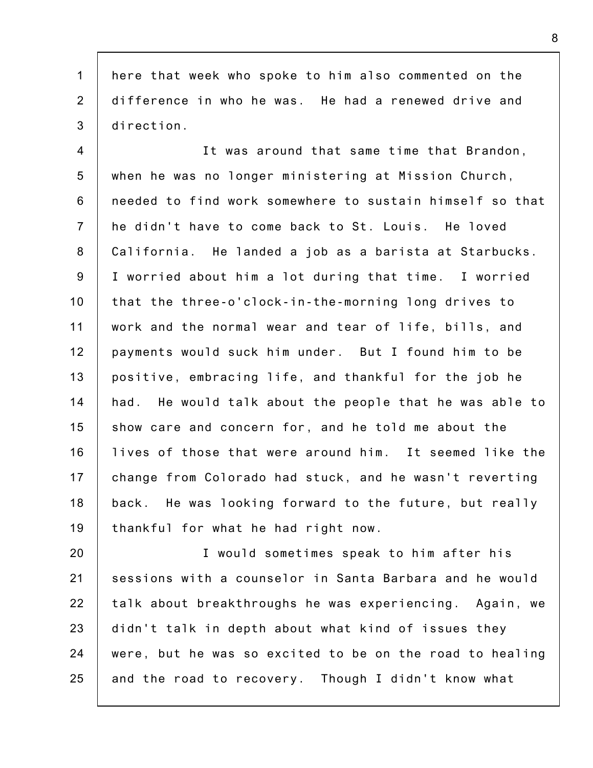1 2 3 here that week who spoke to him also commented on the difference in who he was. He had a renewed drive and direction.

4 5 6 7 8 9 10 11 12 13 14 15 16 17 18 19 It was around that same time that Brandon, when he was no longer ministering at Mission Church, needed to find work somewhere to sustain himself so that he didn't have to come back to St. Louis. He loved California. He landed a job as a barista at Starbucks. I worried about him a lot during that time. I worried that the three-o'clock-in-the-morning long drives to work and the normal wear and tear of life, bills, and payments would suck him under. But I found him to be positive, embracing life, and thankful for the job he had. He would talk about the people that he was able to show care and concern for, and he told me about the lives of those that were around him. It seemed like the change from Colorado had stuck, and he wasn't reverting back. He was looking forward to the future, but really thankful for what he had right now.

20 21 22 23 24 25 I would sometimes speak to him after his sessions with a counselor in Santa Barbara and he would talk about breakthroughs he was experiencing. Again, we didn't talk in depth about what kind of issues they were, but he was so excited to be on the road to healing and the road to recovery. Though I didn't know what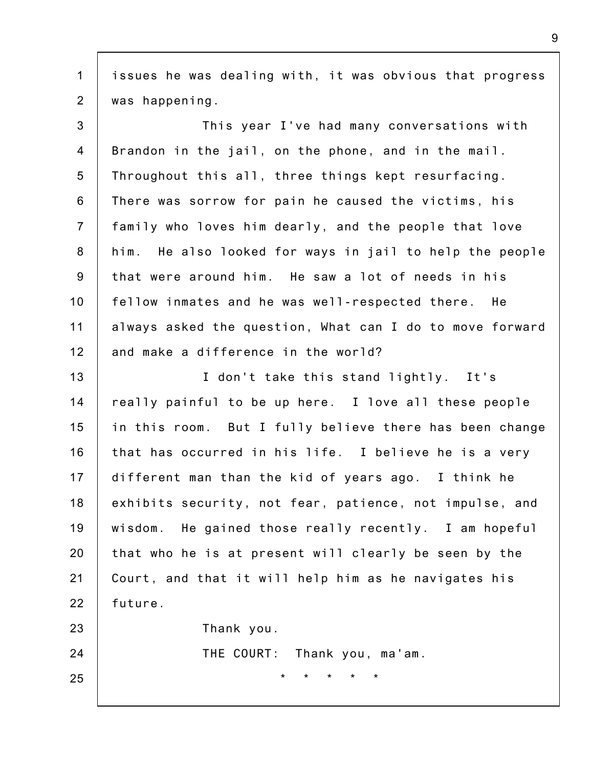1 2 issues he was dealing with, it was obvious that progress was happening.

3 4 5 6 7 8 9 10 11 12 This year I've had many conversations with Brandon in the jail, on the phone, and in the mail. Throughout this all, three things kept resurfacing. There was sorrow for pain he caused the victims, his family who loves him dearly, and the people that love him. He also looked for ways in jail to help the people that were around him. He saw a lot of needs in his fellow inmates and he was well-respected there. He always asked the question, What can I do to move forward and make a difference in the world?

13 14 15 16 17 18 19 20 21 22 I don't take this stand lightly. It's really painful to be up here. I love all these people in this room. But I fully believe there has been change that has occurred in his life. I believe he is a very different man than the kid of years ago. I think he exhibits security, not fear, patience, not impulse, and wisdom. He gained those really recently. I am hopeful that who he is at present will clearly be seen by the Court, and that it will help him as he navigates his future.

Thank you.

THE COURT: Thank you, ma'am.

\* \* \* \* \*

25

23

24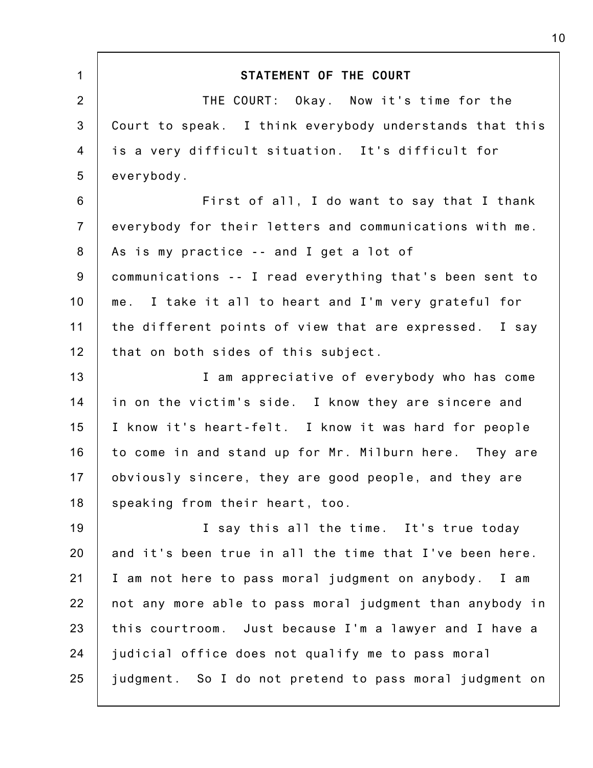| STATEMENT OF THE COURT                                   |
|----------------------------------------------------------|
| THE COURT: Okay. Now it's time for the                   |
| Court to speak. I think everybody understands that this  |
|                                                          |
| is a very difficult situation. It's difficult for        |
| everybody.                                               |
| First of all, I do want to say that I thank              |
| everybody for their letters and communications with me.  |
| As is my practice -- and I get a lot of                  |
| communications -- I read everything that's been sent to  |
| me. I take it all to heart and I'm very grateful for     |
| the different points of view that are expressed. I say   |
| that on both sides of this subject.                      |
| I am appreciative of everybody who has come              |
| in on the victim's side. I know they are sincere and     |
| I know it's heart-felt. I know it was hard for people    |
| to come in and stand up for Mr. Milburn here. They are   |
| obviously sincere, they are good people, and they are    |
| speaking from their heart, too.                          |
| I say this all the time. It's true today                 |
| and it's been true in all the time that I've been here.  |
| I am not here to pass moral judgment on anybody. I am    |
| not any more able to pass moral judgment than anybody in |
| this courtroom. Just because I'm a lawyer and I have a   |
| judicial office does not qualify me to pass moral        |
| judgment. So I do not pretend to pass moral judgment on  |
|                                                          |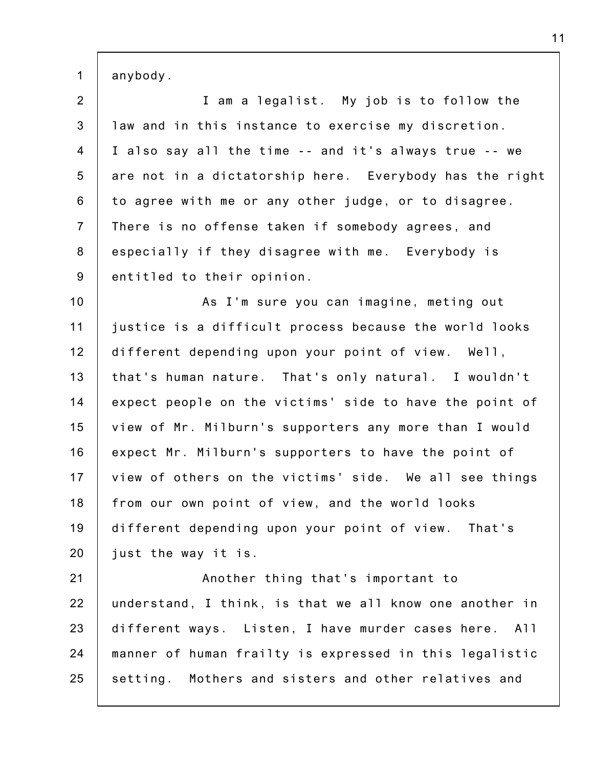1 anybody.

2 3 4 5 6 7 8 9 I am a legalist. My job is to follow the law and in this instance to exercise my discretion. I also say all the time -- and it's always true -- we are not in a dictatorship here. Everybody has the right to agree with me or any other judge, or to disagree. There is no offense taken if somebody agrees, and especially if they disagree with me. Everybody is entitled to their opinion.

10 11 12 13 14 15 16 17 18 19 20 As I'm sure you can imagine, meting out justice is a difficult process because the world looks different depending upon your point of view. Well, that's human nature. That's only natural. I wouldn't expect people on the victims' side to have the point of view of Mr. Milburn's supporters any more than I would expect Mr. Milburn's supporters to have the point of view of others on the victims' side. We all see things from our own point of view, and the world looks different depending upon your point of view. That's just the way it is.

21 22 23 24 25 Another thing that's important to understand, I think, is that we all know one another in different ways. Listen, I have murder cases here. All manner of human frailty is expressed in this legalistic setting. Mothers and sisters and other relatives and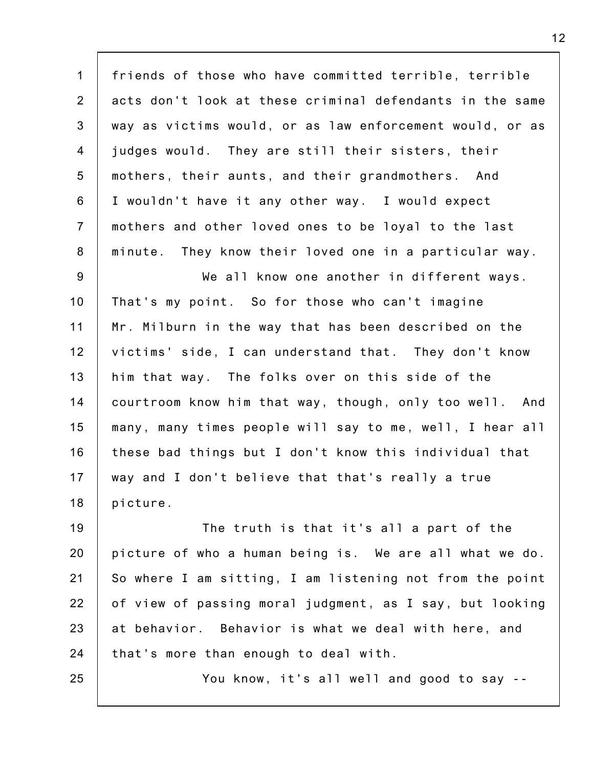1 2 3 4 5 6 7 8 friends of those who have committed terrible, terrible acts don't look at these criminal defendants in the same way as victims would, or as law enforcement would, or as judges would. They are still their sisters, their mothers, their aunts, and their grandmothers. And I wouldn't have it any other way. I would expect mothers and other loved ones to be loyal to the last minute. They know their loved one in a particular way.

9 10 11 12 13 14 15 16 17 18 We all know one another in different ways. That's my point. So for those who can't imagine Mr. Milburn in the way that has been described on the victims' side, I can understand that. They don't know him that way. The folks over on this side of the courtroom know him that way, though, only too well. And many, many times people will say to me, well, I hear all these bad things but I don't know this individual that way and I don't believe that that's really a true picture.

19 20 21 22 23 24 The truth is that it's all a part of the picture of who a human being is. We are all what we do. So where I am sitting, I am listening not from the point of view of passing moral judgment, as I say, but looking at behavior. Behavior is what we deal with here, and that's more than enough to deal with.

25

You know, it's all well and good to say --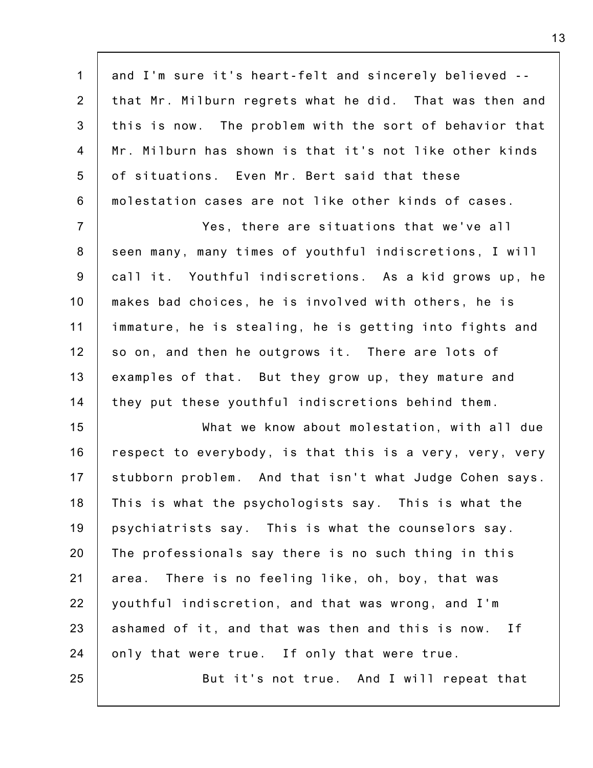1 2 3 4 5 6 and I'm sure it's heart-felt and sincerely believed - that Mr. Milburn regrets what he did. That was then and this is now. The problem with the sort of behavior that Mr. Milburn has shown is that it's not like other kinds of situations. Even Mr. Bert said that these molestation cases are not like other kinds of cases.

7 8 9 10 11 12 13 14 Yes, there are situations that we've all seen many, many times of youthful indiscretions, I will call it. Youthful indiscretions. As a kid grows up, he makes bad choices, he is involved with others, he is immature, he is stealing, he is getting into fights and so on, and then he outgrows it. There are lots of examples of that. But they grow up, they mature and they put these youthful indiscretions behind them.

15 16 17 18 19 20 21 22 23 24 25 What we know about molestation, with all due respect to everybody, is that this is a very, very, very stubborn problem. And that isn't what Judge Cohen says. This is what the psychologists say. This is what the psychiatrists say. This is what the counselors say. The professionals say there is no such thing in this area. There is no feeling like, oh, boy, that was youthful indiscretion, and that was wrong, and I'm ashamed of it, and that was then and this is now. If only that were true. If only that were true. But it's not true. And I will repeat that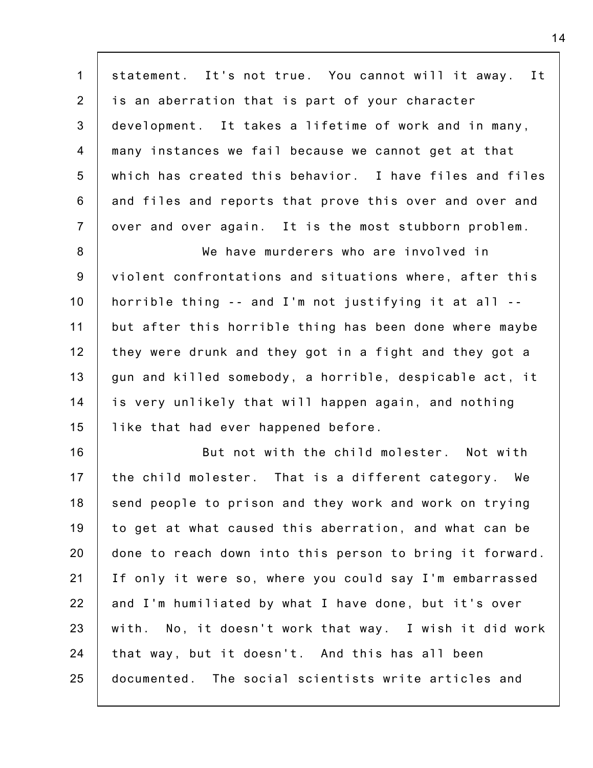1 2 3 4 5 6 7 statement. It's not true. You cannot will it away. It is an aberration that is part of your character development. It takes a lifetime of work and in many, many instances we fail because we cannot get at that which has created this behavior. I have files and files and files and reports that prove this over and over and over and over again. It is the most stubborn problem.

8 9 10 11 12 13 14 15 We have murderers who are involved in violent confrontations and situations where, after this horrible thing -- and I'm not justifying it at all - but after this horrible thing has been done where maybe they were drunk and they got in a fight and they got a gun and killed somebody, a horrible, despicable act, it is very unlikely that will happen again, and nothing like that had ever happened before.

16 17 18 19 20 21 22 23 24 25 But not with the child molester. Not with the child molester. That is a different category. We send people to prison and they work and work on trying to get at what caused this aberration, and what can be done to reach down into this person to bring it forward. If only it were so, where you could say I'm embarrassed and I'm humiliated by what I have done, but it's over with. No, it doesn't work that way. I wish it did work that way, but it doesn't. And this has all been documented. The social scientists write articles and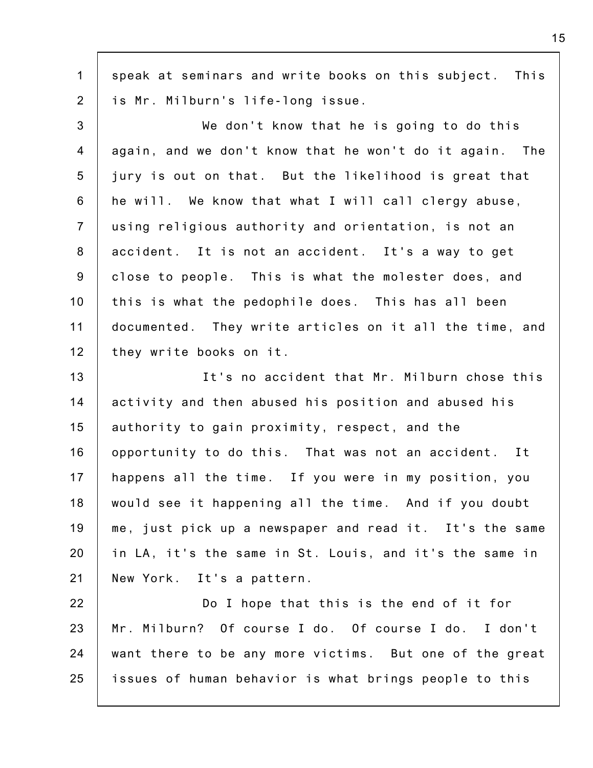1 2 speak at seminars and write books on this subject. This is Mr. Milburn's life-long issue.

3 4 5 6 7 8 9 10 11 12 We don't know that he is going to do this again, and we don't know that he won't do it again. The jury is out on that. But the likelihood is great that he will. We know that what I will call clergy abuse, using religious authority and orientation, is not an accident. It is not an accident. It's a way to get close to people. This is what the molester does, and this is what the pedophile does. This has all been documented. They write articles on it all the time, and they write books on it.

13 14 15 16 17 18 19 20 21 It's no accident that Mr. Milburn chose this activity and then abused his position and abused his authority to gain proximity, respect, and the opportunity to do this. That was not an accident. It happens all the time. If you were in my position, you would see it happening all the time. And if you doubt me, just pick up a newspaper and read it. It's the same in LA, it's the same in St. Louis, and it's the same in New York. It's a pattern.

22 23 24 25 Do I hope that this is the end of it for Mr. Milburn? Of course I do. Of course I do. I don't want there to be any more victims. But one of the great issues of human behavior is what brings people to this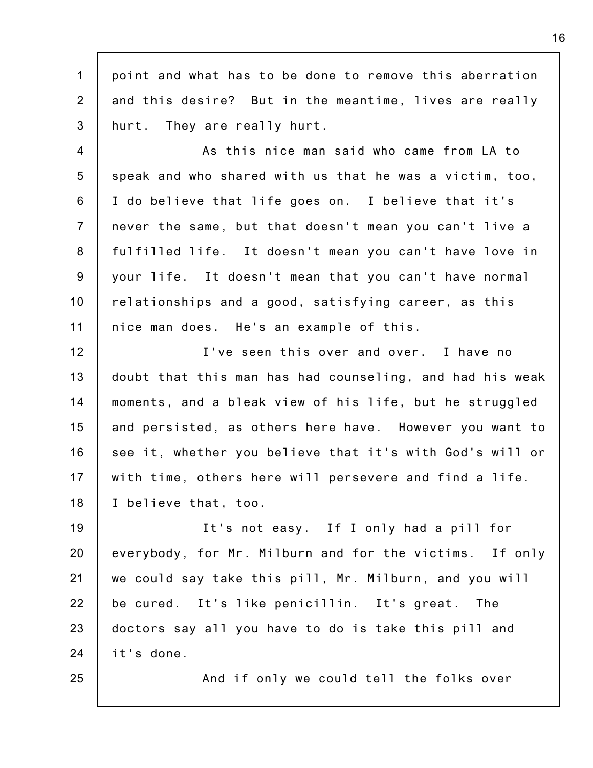1 2 3 point and what has to be done to remove this aberration and this desire? But in the meantime, lives are really hurt. They are really hurt.

4 5 6 7 8 9 10 11 As this nice man said who came from LA to speak and who shared with us that he was a victim, too, I do believe that life goes on. I believe that it's never the same, but that doesn't mean you can't live a fulfilled life. It doesn't mean you can't have love in your life. It doesn't mean that you can't have normal relationships and a good, satisfying career, as this nice man does. He's an example of this.

12 13 14 15 16 17 18 I've seen this over and over. I have no doubt that this man has had counseling, and had his weak moments, and a bleak view of his life, but he struggled and persisted, as others here have. However you want to see it, whether you believe that it's with God's will or with time, others here will persevere and find a life. I believe that, too.

19 20 21 22 23 24 It's not easy. If I only had a pill for everybody, for Mr. Milburn and for the victims. If only we could say take this pill, Mr. Milburn, and you will be cured. It's like penicillin. It's great. The doctors say all you have to do is take this pill and it's done.

25

And if only we could tell the folks over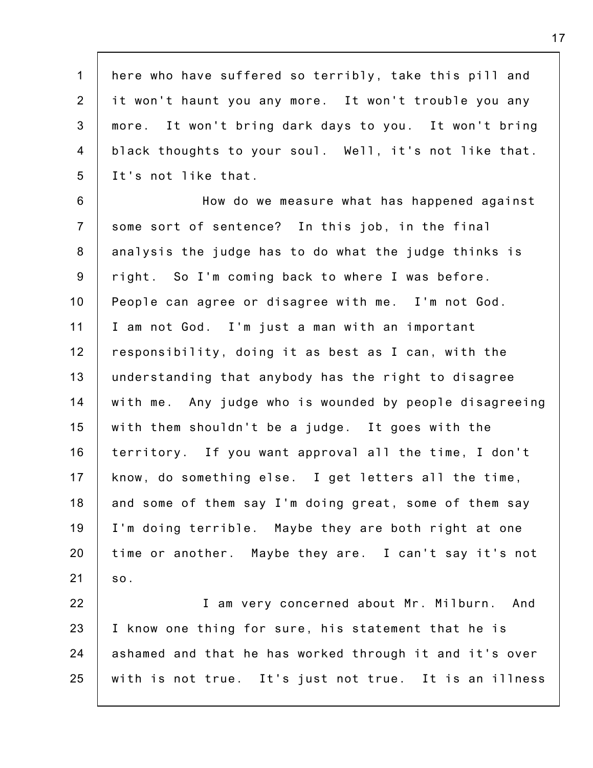1 2 3 4 5 here who have suffered so terribly, take this pill and it won't haunt you any more. It won't trouble you any more. It won't bring dark days to you. It won't bring black thoughts to your soul. Well, it's not like that. It's not like that.

6 7 8 9 10 11 12 13 14 15 16 17 18 19 20 21 How do we measure what has happened against some sort of sentence? In this job, in the final analysis the judge has to do what the judge thinks is right. So I'm coming back to where I was before. People can agree or disagree with me. I'm not God. I am not God. I'm just a man with an important responsibility, doing it as best as I can, with the understanding that anybody has the right to disagree with me. Any judge who is wounded by people disagreeing with them shouldn't be a judge. It goes with the territory. If you want approval all the time, I don't know, do something else. I get letters all the time, and some of them say I'm doing great, some of them say I'm doing terrible. Maybe they are both right at one time or another. Maybe they are. I can't say it's not so.

22 23 24 25 I am very concerned about Mr. Milburn. And I know one thing for sure, his statement that he is ashamed and that he has worked through it and it's over with is not true. It's just not true. It is an illness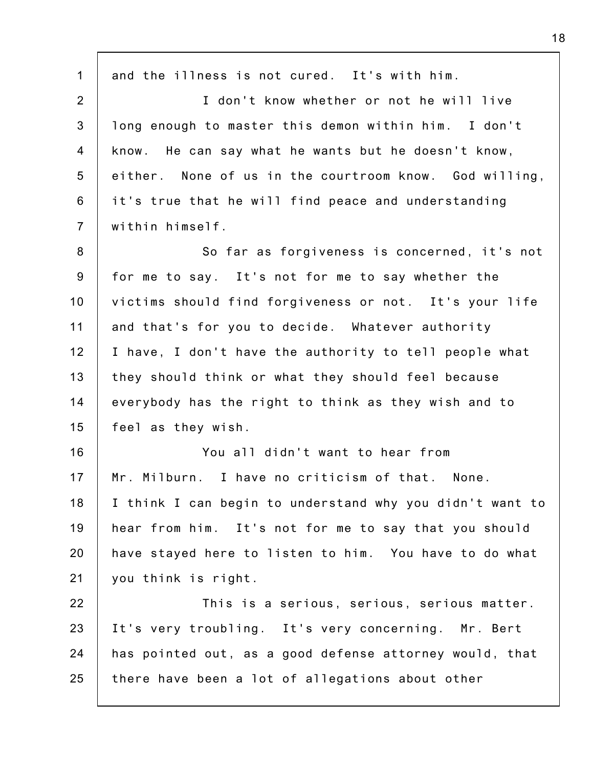1 2 3 4 5 6 7 8 9 10 11 12 13 14 15 16 17 18 19 20 21 22 23 24 25 and the illness is not cured. It's with him. I don't know whether or not he will live long enough to master this demon within him. I don't know. He can say what he wants but he doesn't know, either. None of us in the courtroom know. God willing, it's true that he will find peace and understanding within himself. So far as forgiveness is concerned, it's not for me to say. It's not for me to say whether the victims should find forgiveness or not. It's your life and that's for you to decide. Whatever authority I have, I don't have the authority to tell people what they should think or what they should feel because everybody has the right to think as they wish and to feel as they wish. You all didn't want to hear from Mr. Milburn. I have no criticism of that. None. I think I can begin to understand why you didn't want to hear from him. It's not for me to say that you should have stayed here to listen to him. You have to do what you think is right. This is a serious, serious, serious matter. It's very troubling. It's very concerning. Mr. Bert has pointed out, as a good defense attorney would, that there have been a lot of allegations about other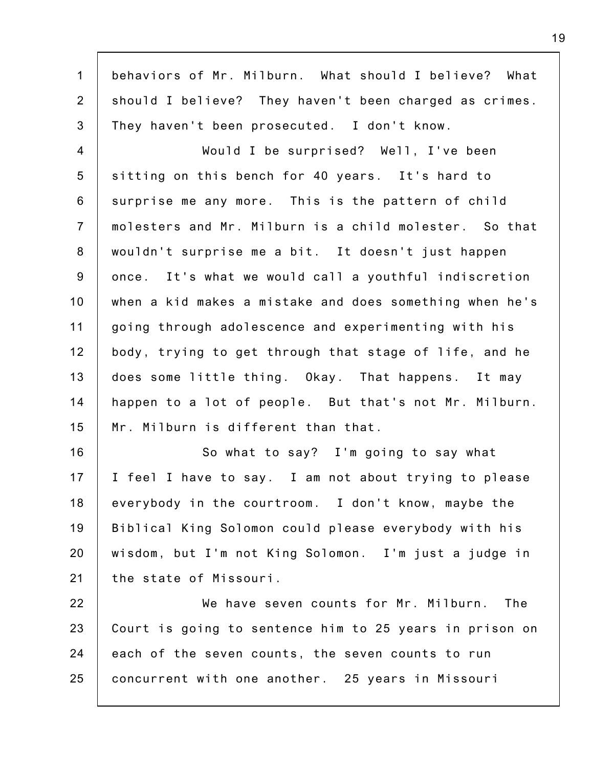1 2 3 behaviors of Mr. Milburn. What should I believe? What should I believe? They haven't been charged as crimes. They haven't been prosecuted. I don't know.

4 5 6 7 8 9 10 11 12 13 14 15 Would I be surprised? Well, I've been sitting on this bench for 40 years. It's hard to surprise me any more. This is the pattern of child molesters and Mr. Milburn is a child molester. So that wouldn't surprise me a bit. It doesn't just happen once. It's what we would call a youthful indiscretion when a kid makes a mistake and does something when he's going through adolescence and experimenting with his body, trying to get through that stage of life, and he does some little thing. Okay. That happens. It may happen to a lot of people. But that's not Mr. Milburn. Mr. Milburn is different than that.

16 17 18 19 20 21 So what to say? I'm going to say what I feel I have to say. I am not about trying to please everybody in the courtroom. I don't know, maybe the Biblical King Solomon could please everybody with his wisdom, but I'm not King Solomon. I'm just a judge in the state of Missouri.

22 23 24 25 We have seven counts for Mr. Milburn. The Court is going to sentence him to 25 years in prison on each of the seven counts, the seven counts to run concurrent with one another. 25 years in Missouri